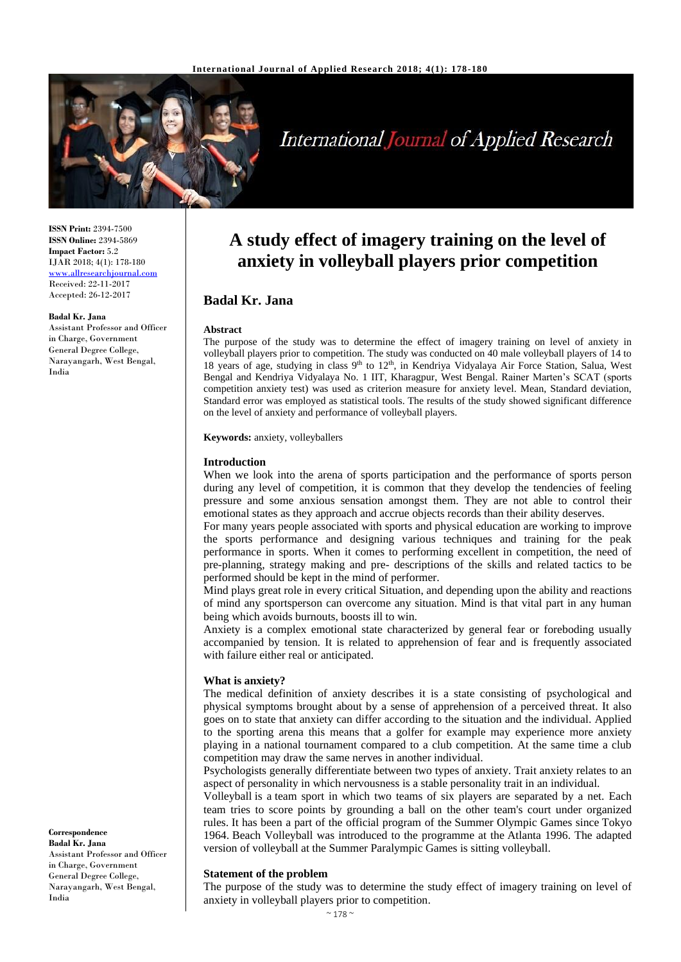

# **International Journal of Applied Research**

**ISSN Print:** 2394-7500 **ISSN Online:** 2394-5869 **Impact Factor:** 5.2 IJAR 2018; 4(1): 178-180 <www.allresearchjournal.com> Received: 22-11-2017 Accepted: 26-12-2017

#### **Badal Kr. Jana**

Assistant Professor and Officer in Charge, Government General Degree College, Narayangarh, West Bengal, India

**Correspondence Badal Kr. Jana** Assistant Professor and Officer in Charge, Government General Degree College, Narayangarh, West Bengal, India

## **A study effect of imagery training on the level of anxiety in volleyball players prior competition**

### **Badal Kr. Jana**

#### **Abstract**

The purpose of the study was to determine the effect of imagery training on level of anxiety in volleyball players prior to competition. The study was conducted on 40 male volleyball players of 14 to 18 years of age, studying in class 9<sup>th</sup> to 12<sup>th</sup>, in Kendriya Vidyalaya Air Force Station, Salua, West Bengal and Kendriya Vidyalaya No. 1 IIT, Kharagpur, West Bengal. Rainer Marten's SCAT (sports competition anxiety test) was used as criterion measure for anxiety level. Mean, Standard deviation, Standard error was employed as statistical tools. The results of the study showed significant difference on the level of anxiety and performance of volleyball players.

**Keywords:** anxiety, volleyballers

#### **Introduction**

When we look into the arena of sports participation and the performance of sports person during any level of competition, it is common that they develop the tendencies of feeling pressure and some anxious sensation amongst them. They are not able to control their emotional states as they approach and accrue objects records than their ability deserves.

For many years people associated with sports and physical education are working to improve the sports performance and designing various techniques and training for the peak performance in sports. When it comes to performing excellent in competition, the need of pre-planning, strategy making and pre- descriptions of the skills and related tactics to be performed should be kept in the mind of performer.

Mind plays great role in every critical Situation, and depending upon the ability and reactions of mind any sportsperson can overcome any situation. Mind is that vital part in any human being which avoids burnouts, boosts ill to win.

Anxiety is a complex emotional state characterized by general fear or foreboding usually accompanied by tension. It is related to apprehension of fear and is frequently associated with failure either real or anticipated.

#### **What is anxiety?**

The medical definition of anxiety describes it is a state consisting of psychological and physical symptoms brought about by a sense of apprehension of a perceived threat. It also goes on to state that anxiety can differ according to the situation and the individual. Applied to the sporting arena this means that a golfer for example may experience more anxiety playing in a national tournament compared to a club competition. At the same time a club competition may draw the same nerves in another individual.

Psychologists generally differentiate between two types of anxiety. Trait anxiety relates to an aspect of personality in which nervousness is a stable personality trait in an individual.

Volleyball is a team sport in which two teams of six players are separated by a net. Each team tries to score points by grounding a ball on the other team's court under organized rules. It has been a part of the official program of the Summer Olympic Games since Tokyo 1964. Beach Volleyball was introduced to the programme at the Atlanta 1996. The adapted version of volleyball at the Summer Paralympic Games is sitting volleyball.

#### **Statement of the problem**

The purpose of the study was to determine the study effect of imagery training on level of anxiety in volleyball players prior to competition.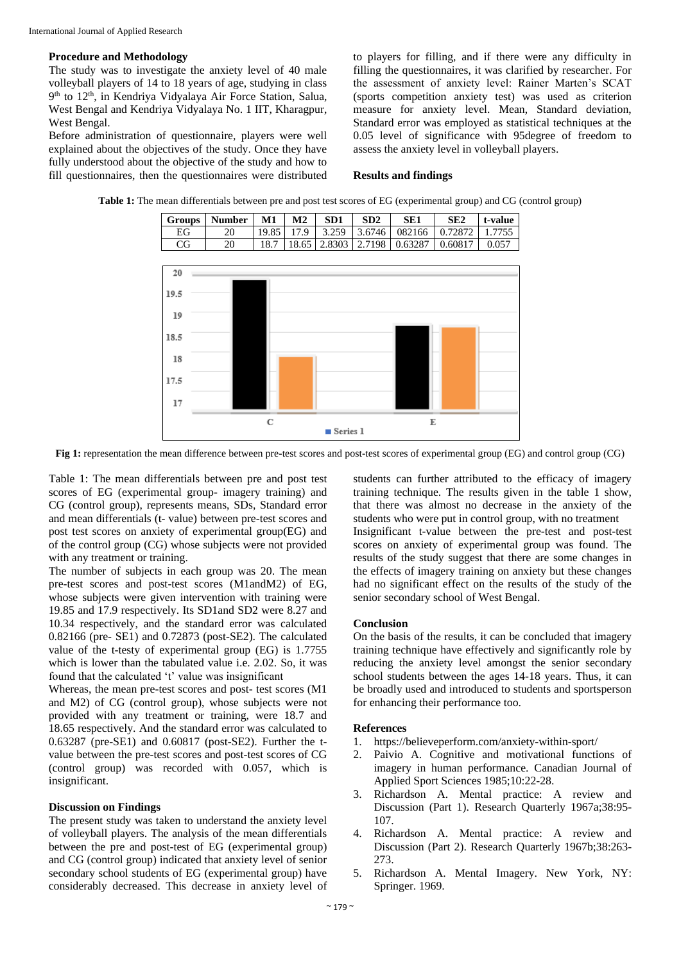#### **Procedure and Methodology**

The study was to investigate the anxiety level of 40 male volleyball players of 14 to 18 years of age, studying in class 9<sup>th</sup> to 12<sup>th</sup>, in Kendriya Vidyalaya Air Force Station, Salua, West Bengal and Kendriya Vidyalaya No. 1 IIT, Kharagpur, West Bengal.

Before administration of questionnaire, players were well explained about the objectives of the study. Once they have fully understood about the objective of the study and how to fill questionnaires, then the questionnaires were distributed

to players for filling, and if there were any difficulty in filling the questionnaires, it was clarified by researcher. For the assessment of anxiety level: Rainer Marten's SCAT (sports competition anxiety test) was used as criterion measure for anxiety level. Mean, Standard deviation, Standard error was employed as statistical techniques at the 0.05 level of significance with 95degree of freedom to assess the anxiety level in volleyball players.

#### **Results and findings**



**Table 1:** The mean differentials between pre and post test scores of EG (experimental group) and CG (control group)

**Fig 1:** representation the mean difference between pre-test scores and post-test scores of experimental group (EG) and control group (CG)

Table 1: The mean differentials between pre and post test scores of EG (experimental group- imagery training) and CG (control group), represents means, SDs, Standard error and mean differentials (t- value) between pre-test scores and post test scores on anxiety of experimental group(EG) and of the control group (CG) whose subjects were not provided with any treatment or training.

The number of subjects in each group was 20. The mean pre-test scores and post-test scores (M1andM2) of EG, whose subjects were given intervention with training were 19.85 and 17.9 respectively. Its SD1and SD2 were 8.27 and 10.34 respectively, and the standard error was calculated 0.82166 (pre- SE1) and 0.72873 (post-SE2). The calculated value of the t-testy of experimental group (EG) is 1.7755 which is lower than the tabulated value i.e. 2.02. So, it was found that the calculated 't' value was insignificant

Whereas, the mean pre-test scores and post- test scores (M1 and M2) of CG (control group), whose subjects were not provided with any treatment or training, were 18.7 and 18.65 respectively. And the standard error was calculated to 0.63287 (pre-SE1) and 0.60817 (post-SE2). Further the tvalue between the pre-test scores and post-test scores of CG (control group) was recorded with 0.057, which is insignificant.

#### **Discussion on Findings**

The present study was taken to understand the anxiety level of volleyball players. The analysis of the mean differentials between the pre and post-test of EG (experimental group) and CG (control group) indicated that anxiety level of senior secondary school students of EG (experimental group) have considerably decreased. This decrease in anxiety level of students can further attributed to the efficacy of imagery training technique. The results given in the table 1 show, that there was almost no decrease in the anxiety of the students who were put in control group, with no treatment Insignificant t-value between the pre-test and post-test scores on anxiety of experimental group was found. The results of the study suggest that there are some changes in the effects of imagery training on anxiety but these changes had no significant effect on the results of the study of the senior secondary school of West Bengal.

#### **Conclusion**

On the basis of the results, it can be concluded that imagery training technique have effectively and significantly role by reducing the anxiety level amongst the senior secondary school students between the ages 14-18 years. Thus, it can be broadly used and introduced to students and sportsperson for enhancing their performance too.

#### **References**

- 1. https://believeperform.com/anxiety-within-sport/
- 2. Paivio A. Cognitive and motivational functions of imagery in human performance. Canadian Journal of Applied Sport Sciences 1985;10:22-28.
- 3. Richardson A. Mental practice: A review and Discussion (Part 1). Research Quarterly 1967a;38:95- 107.
- 4. Richardson A. Mental practice: A review and Discussion (Part 2). Research Quarterly 1967b;38:263- 273.
- 5. Richardson A. Mental Imagery. New York, NY: Springer. 1969.